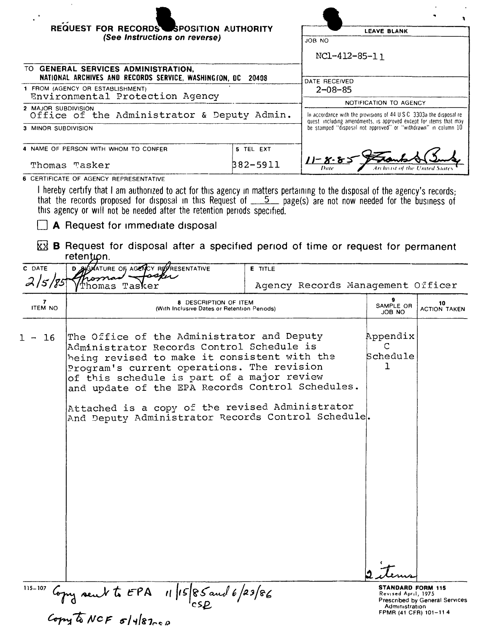| REQUEST FOR RECORDS SPOSITION AUTHORITY                                                                                                                       | <b>LEAVE BLANK</b>                                                                                                                         |                                                                |  |
|---------------------------------------------------------------------------------------------------------------------------------------------------------------|--------------------------------------------------------------------------------------------------------------------------------------------|----------------------------------------------------------------|--|
| (See Instructions on reverse)                                                                                                                                 | <b>JOB NO</b>                                                                                                                              |                                                                |  |
|                                                                                                                                                               |                                                                                                                                            | NC1-412-85-11                                                  |  |
| TO GENERAL SERVICES ADMINISTRATION.<br>NATIONAL ARCHIVES AND RECORDS SERVICE, WASHINGTON, DC 20408                                                            |                                                                                                                                            |                                                                |  |
| 1 FROM (AGENCY OR ESTABLISHMENT)                                                                                                                              |                                                                                                                                            | DATE RECEIVED<br>$2 - 08 - 85$                                 |  |
| Environmental Protection Agency                                                                                                                               | NOTIFICATION TO AGENCY                                                                                                                     |                                                                |  |
| 2 MAJOR SUBDIVISION<br>Office of the Administrator & Deputy Admin.                                                                                            | In accordance with the provisions of 44 U.S.C. 3303a the disposal re-<br>quest including amendments, is approved except for items that may |                                                                |  |
| 3 MINOR SUBDIVISION                                                                                                                                           |                                                                                                                                            | be stamped "disposal not approved" or "withdrawn" in column 10 |  |
| 4 NAME OF PERSON WITH WHOM TO CONFER                                                                                                                          | 5 TEL EXT                                                                                                                                  |                                                                |  |
| Thomas Tasker                                                                                                                                                 | 382-5911                                                                                                                                   | $11 - 8 - 8 = 3$<br>Archivist of the United States<br>Date     |  |
| 6 CERTIFICATE OF AGENCY REPRESENTATIVE<br>l howohu oortifu thot taan millement to mit fanthemene en midden medicine in the stamped of the mener of the top of |                                                                                                                                            |                                                                |  |

I hereby certify that I am authorized to act for this agency in matters pertaining to the disposal of the agency's records;<br>that the records proposed for disposal in this Request of 5 page(s) are not now needed for the bus

 $\Box$  A Request for immediate disposal

8 B Request for disposal after a specified period of time or request for permanent retention.

| C DATE              | ATURE OF AGENCY REFRESENTATIVE<br>sku                                                                                                                                                                                                                                                                                                      | <b>E</b> TITLE                    |                                                                                            |                                |
|---------------------|--------------------------------------------------------------------------------------------------------------------------------------------------------------------------------------------------------------------------------------------------------------------------------------------------------------------------------------------|-----------------------------------|--------------------------------------------------------------------------------------------|--------------------------------|
| 2   5   85          | 'homas Tasker                                                                                                                                                                                                                                                                                                                              | Agency Records Management Officer |                                                                                            |                                |
| 7<br><b>ITEM NO</b> | 8 DESCRIPTION OF ITEM<br>(With Inclusive Dates or Retention Periods)                                                                                                                                                                                                                                                                       | 9<br>SAMPLE OR<br><b>ON BOL</b>   | 10<br><b>ACTION TAKEN</b>                                                                  |                                |
| 16                  | The Office of the Administrator and Deputy<br>Administrator Records Control Schedule is<br>being revised to make it consistent with the<br>Program's current operations. The revision<br>of this schedule is part of a major review<br>and update of the EPA Records Control Schedules.<br>Attached is a copy of the revised Administrator |                                   | Appendix<br>Schedule<br>ı                                                                  |                                |
|                     | And Deputy Administrator Records Control Schedule.                                                                                                                                                                                                                                                                                         |                                   |                                                                                            |                                |
|                     |                                                                                                                                                                                                                                                                                                                                            |                                   |                                                                                            |                                |
|                     |                                                                                                                                                                                                                                                                                                                                            |                                   |                                                                                            |                                |
|                     |                                                                                                                                                                                                                                                                                                                                            |                                   |                                                                                            |                                |
|                     |                                                                                                                                                                                                                                                                                                                                            |                                   |                                                                                            |                                |
|                     |                                                                                                                                                                                                                                                                                                                                            |                                   |                                                                                            |                                |
| 115-107             | $\frac{1}{2}$ lopy sent to EPA 11 15 85 and 6/23/86<br>Copy to NCF 5/4 87.00                                                                                                                                                                                                                                                               |                                   | <b>STANDARD FORM 115</b><br>Revised April, 1975<br>Administration<br>FPMR (41 CFR) 101-114 | Prescribed by General Services |
|                     |                                                                                                                                                                                                                                                                                                                                            |                                   |                                                                                            |                                |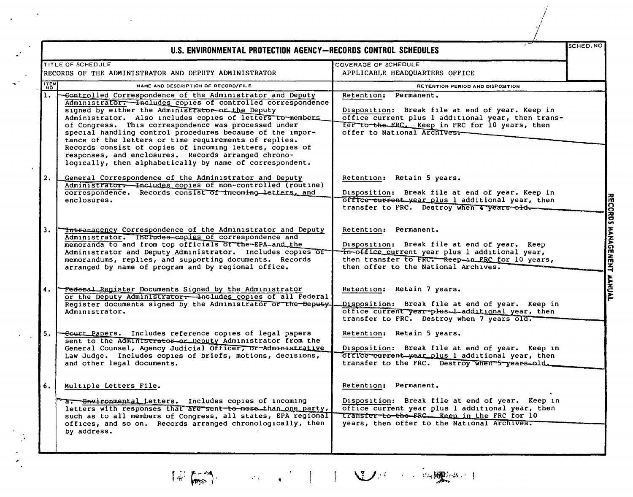|            | U.S. ENVIRONMENTAL PROTECTION AGENCY-RECORDS CONTROL SCHEDULES                                                                                                                                                                                                                                                                                                                                                                                                                                                                                                                                            |                                                                                                                                                                                                                            | SCHED.NO |
|------------|-----------------------------------------------------------------------------------------------------------------------------------------------------------------------------------------------------------------------------------------------------------------------------------------------------------------------------------------------------------------------------------------------------------------------------------------------------------------------------------------------------------------------------------------------------------------------------------------------------------|----------------------------------------------------------------------------------------------------------------------------------------------------------------------------------------------------------------------------|----------|
|            | TITLE OF SCHEDULE<br>RECORDS OF THE ADMINISTRATOR AND DEPUTY ADMINISTRATOR                                                                                                                                                                                                                                                                                                                                                                                                                                                                                                                                | COVERAGE OF SCHEDULE<br>APPLICABLE HEADQUARTERS OFFICE                                                                                                                                                                     |          |
| <b>TEM</b> | NAME AND DESCRIPTION OF RECORD/FILE                                                                                                                                                                                                                                                                                                                                                                                                                                                                                                                                                                       | RETENTION PERIOD AND DISPOSITION                                                                                                                                                                                           |          |
| 1.         | -Controlled Correspondence of the Administrator and Deputy<br>Administrator. - Includes copies of controlled correspondence<br>signed by either the Administrator-or the Deputy<br>Administrator. Also includes copies of letters to members<br>of Congress. This correspondence was processed under<br>special handling control procedures because of the impor-<br>tance of the letters or time requirements of replies.<br>Records consist of copies of incoming letters, copies of<br>responses, and enclosures. Records arranged chrono-<br>loqically, then alphabetically by name of correspondent. | Retention: Permanent.<br>Disposition: Break file at end of year. Keep in<br>office current plus 1 additional year, then trans-<br>fer to the ERC. Keep in FRC for 10 years, then<br>offer to National Archives.            |          |
| 2.         | General Correspondence of the Administrator and Deputy<br>Administrator. Includes copies of non-controlled (routine)<br>correspondence. Records consist of incoming letters, and<br>enclosures.                                                                                                                                                                                                                                                                                                                                                                                                           | Retention: Retain 5 years.<br>Disposition: Break file at end of year. Keep in<br>office current year plus 1 additional year, then                                                                                          |          |
| 3.         | The Eagency Correspondence of the Administrator and Deputy<br>Administrator. Includes-copies of correspondence and<br>memoranda to and from top officials of the-EPA-and the<br>Administrator and Deputy Administrator. Includes copies of<br>memorandums, replies, and supporting documents. Records<br>arranged by name of program and by regional office.                                                                                                                                                                                                                                              | Retention: Permanent.<br>Disposition: Break file at end of year. Keep<br>in-office current year plus 1 additional year,<br>then transfer to FRC. - Keep-in FRC for 10 years,<br>then offer to the National Archives.       |          |
| 4.         | -Federal Register Documents Signed by the Administrator<br>or the Deputy Administrator. Includes copies of all Federal<br>Register documents signed by the Administrator of the Deputy-<br>Administrator.                                                                                                                                                                                                                                                                                                                                                                                                 | Retention: Retain 7 years.<br>Disposition: Break file at end of year. Keep in<br>office current year-plus-l-additional year, then<br>transfer to FRC. Destroy when 7 years old.                                            |          |
| 5.         | -Court Papers. Includes reference copies of legal papers<br>sent to the Administrator or Deputy Administrator from the<br>General Counsel, Agency Judicial Officer, or Administrative<br>Law Judge. Includes copies of briefs, motions, decisions,<br>and other legal documents.                                                                                                                                                                                                                                                                                                                          | Retention: Retain 5 years.<br>Disposition: Break file at end of year. Keep in<br>office current year plus 1 additional year, then<br>transfer to the FRC. Destroy when 5-years-old.                                        |          |
| 6.         | Multiple Letters File.<br>a. Environmental Letters. Includes copies of incoming<br>letters with responses that are sent-to-more than one party,<br>such as to all members of Congress, all states, EPA regional<br>offices, and so on. Records arranged chronologically, then<br>by address.                                                                                                                                                                                                                                                                                                              | Retention: Permanent.<br>Disposition: Break file at end of year. Keep in<br>office current year plus 1 additional year, then<br>transfer to the FRC. Keep in the FRC for 10<br>years, then offer to the National Archives. |          |

 $\left(\begin{smallmatrix}\widehat{\omega} & \widehat{\omega} & \widehat{\omega} & \widehat{\omega} \\ \widehat{\omega} & \widehat{\omega} & \widehat{\omega} & \widehat{\omega} \end{smallmatrix}\right).$ 

· Sent Allen Language To The Construction of The Manual Construction of The Manual Construction of The Manual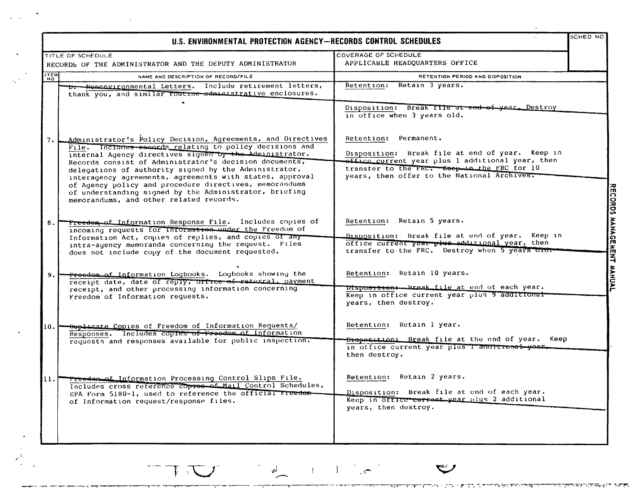|             | U.S. ENVIRONMENTAL PROTECTION AGENCY-RECORDS CONTROL SCHEDULES                                                                                                                                                                                                                                                                                                                                                                                                                                                                  |                                                                                                                                                                                                                            | SCHED NO                  |
|-------------|---------------------------------------------------------------------------------------------------------------------------------------------------------------------------------------------------------------------------------------------------------------------------------------------------------------------------------------------------------------------------------------------------------------------------------------------------------------------------------------------------------------------------------|----------------------------------------------------------------------------------------------------------------------------------------------------------------------------------------------------------------------------|---------------------------|
|             | TITLE OF SCHEDULE                                                                                                                                                                                                                                                                                                                                                                                                                                                                                                               | COVERAGE OF SCHEDULE                                                                                                                                                                                                       |                           |
|             | RECORDS OF THE ADMINISTRATOR AND THE DEPUTY ADMINISTRATOR                                                                                                                                                                                                                                                                                                                                                                                                                                                                       | APPLICABLE HEADQUARTERS OFFICE                                                                                                                                                                                             |                           |
| <b>THEM</b> | NAME AND DESCRIPTION OF RECORD/FILE                                                                                                                                                                                                                                                                                                                                                                                                                                                                                             | RETENTION PERIOD AND DISPOSITION                                                                                                                                                                                           |                           |
|             | b. Nonenvironmental Letters. Include retirement letters,<br>thank you, and similar routrne-administrative enclosures.                                                                                                                                                                                                                                                                                                                                                                                                           | Retention:<br>Retain 3 years.<br>Disposition: Break File at end of year. Destroy<br>in office when 3 years old.                                                                                                            |                           |
| 7.          | Administrator's Policy Decision, Agreements, and Directives<br>File. Includes records relating to policy decisions and<br>internal Agency directives signed by the Administrator.<br>Records consist of Administrator's decision documents,<br>delegations of authority signed by the Administrator,<br>interagency agreements, agreements with states, approval<br>of Agency policy and procedure directives, memorandums<br>of understanding signed by the Administrator, briefing<br>memorandums, and other related records. | Retention: Permanent.<br>Disposition: Break file at end of year. Keep in<br>office current year plus 1 additional year, then<br>transter to the FRC. Keep in the FRC for 10<br>years, then offer to the National Archives. |                           |
| 8.          | Freedom of Information Response File. Includes copies of<br>incoming requests for information under the Freedom of<br>Information Act, copies of replies, and copies of any<br>intra-agency memoranda concerning the request. Files<br>does not include copy of the document requested.                                                                                                                                                                                                                                         | Retention: Retain 5 years.<br>Disposition: Break file at end of year. Keep in<br>office current year plus additional year, then<br>transfer to the FRC. Destroy when 5 years old.                                          | <b>ECORDS MANAGE</b><br>斋 |
| 9.          | Freedom of Information Logbooks. Logbooks showing the<br>receipt date, date of reply, office of reterral, payment<br>receipt, and other processing information concerning<br>Freedom of Information requests.                                                                                                                                                                                                                                                                                                                   | Retention: Retain 10 years.<br>Dispositions Break file at end of each year.<br>Keep in office current year plus 9 additional<br>years, then destroy.                                                                       | <b>NT MANUAL</b>          |
| 10.         | <b>Duplicate Copies of Freedom of Information Requests/</b><br>Responses. Includes coptes of Freedom of Information<br>requests and responses available for public inspection.                                                                                                                                                                                                                                                                                                                                                  | Retention: Retain 1 year.<br>Dreposition: Break file at the end of year. Keep<br>in office current year plus I anottronal year.<br>then destroy.                                                                           |                           |
| 11.1        | Treedom of Information Processing Control Slips File.<br>Includes cross reterence copres of Mail Control Schedules,<br>EPA Form 5180-1, used to reference the official Freedom-<br>of Information request/response files.                                                                                                                                                                                                                                                                                                       | Retention: Retain 2 years.<br>Disposition: Break file at end of each year.<br>Keep in office current year plus 2 additional<br>years, then destroy.                                                                        |                           |

 $\sim 10^7$ 

 $\mathcal{A}$ 

 $\mathcal{L}^{\text{L}}_{\text{L}}$ 

 $\mathbf{C}$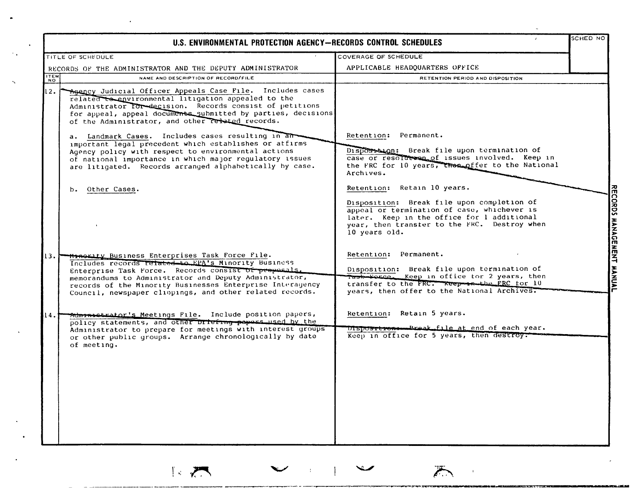|             | U.S. ENVIRONMENTAL PROTECTION AGENCY-RECORDS CONTROL SCHEDULES                                                                                                                                                                                                                                                                                          |                                                                                                                                                                                                                                         | SCHED NO                  |
|-------------|---------------------------------------------------------------------------------------------------------------------------------------------------------------------------------------------------------------------------------------------------------------------------------------------------------------------------------------------------------|-----------------------------------------------------------------------------------------------------------------------------------------------------------------------------------------------------------------------------------------|---------------------------|
|             | TITLE OF SCHEDULE                                                                                                                                                                                                                                                                                                                                       | COVERAGE OF SCHEDULE                                                                                                                                                                                                                    |                           |
|             | RECORDS OF THE ADMINISTRATOR AND THE DEPUTY ADMINISTRATOR                                                                                                                                                                                                                                                                                               | APPLICABLE HEADQUARTERS OFFICE                                                                                                                                                                                                          |                           |
| <b>ITEM</b> | NAME AND DESCRIPTION OF RECORD/FILE                                                                                                                                                                                                                                                                                                                     | RETENTION PERIOD AND DISPOSITION                                                                                                                                                                                                        |                           |
| 12.         | Agency Judicial Officer Appeals Case File. Includes cases<br>related to environmental litigation appealed to the<br>Administrator for decision. Records consist of petitions<br>for appeal, appeal documents submitted by parties, decisions<br>of the Administrator, and other related records.                                                        |                                                                                                                                                                                                                                         |                           |
|             | a. Landmark Cases. Includes cases resulting in an<br>important legal precedent which establishes or affirms<br>Agency policy with respect to environmental actions<br>of national importance in which major regulatory issues<br>are litigated. Records arranged alphabetically by case.                                                                | Retention: Permanent.<br>Disposition: Break file upon termination of<br>case or resolution of issues involved. Keep in<br>the FRC for 10 years, the a offer to the National<br>Archives.                                                |                           |
|             | Other Cases.<br>b.                                                                                                                                                                                                                                                                                                                                      | Retention: Retain 10 years.<br>Disposition: Break file upon completion of<br>appeal or termination of case, whichever is<br>later. Keep in the office for 1 additional<br>year, then transter to the FRC. Destroy when<br>10 years old. | RECORDS MANAGEMENT MANUAL |
| 13.1        | <b>Minority Business Enterprises Task Force File.</b><br>Includes records related to EPA's Minority Business<br>Enterprise Task Force. Records consist of proposals.<br>memorandums to Administrator and Deputy Administrator,<br>records of the Minority Businesses Enterprise Interagency<br>Council, newspaper clippings, and other related records. | Retention: Permanent.<br>Disposition: Break file upon termination of<br>Task-Force. Keep in office for 2 years, then<br>transfer to the FRC. Reep in the FRC for 10<br>years, then offer to the National Archives.                      |                           |
| 14.1        | Administrator's Meetings File. Include position papers,<br>policy statements, and other priefing papers used by the<br>Administrator to prepare for meetings with interest groups<br>or other public groups. Arrange chronologically by date<br>of meeting.                                                                                             | Retention: Retain 5 years.<br>Disposition - Break file at end of each year.<br>Keep in office for 5 years, then destroy.                                                                                                                |                           |

1.7

 $\hat{\mathcal{A}}$ 

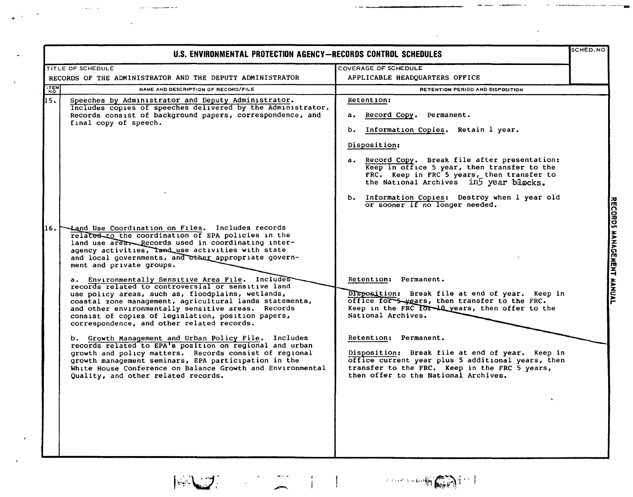| U.S. ENVIRONMENTAL PROTECTION AGENCY-RECORDS CONTROL SCHEDULES                                                                                                                                                                                                                                                                                                                                                                                                                                                                                                                                                                                                                                                                                                                                                                                                                                                                                                                                                                             |                                                                                                                                                                                                                                                                                                                                                                                                                                                                | SCHED.NO                 |
|--------------------------------------------------------------------------------------------------------------------------------------------------------------------------------------------------------------------------------------------------------------------------------------------------------------------------------------------------------------------------------------------------------------------------------------------------------------------------------------------------------------------------------------------------------------------------------------------------------------------------------------------------------------------------------------------------------------------------------------------------------------------------------------------------------------------------------------------------------------------------------------------------------------------------------------------------------------------------------------------------------------------------------------------|----------------------------------------------------------------------------------------------------------------------------------------------------------------------------------------------------------------------------------------------------------------------------------------------------------------------------------------------------------------------------------------------------------------------------------------------------------------|--------------------------|
| TITLE OF SCHEDULE<br>RECORDS OF THE ADMINISTRATOR AND THE DEPUTY ADMINISTRATOR                                                                                                                                                                                                                                                                                                                                                                                                                                                                                                                                                                                                                                                                                                                                                                                                                                                                                                                                                             | COVERAGE OF SCHEDULE<br>APPLICABLE HEADQUARTERS OFFICE                                                                                                                                                                                                                                                                                                                                                                                                         |                          |
| ITEM<br>NAME AND DESCRIPTION OF RECORD/FILE                                                                                                                                                                                                                                                                                                                                                                                                                                                                                                                                                                                                                                                                                                                                                                                                                                                                                                                                                                                                | <b>RETENTION PERIOD AND DISPOSITION</b>                                                                                                                                                                                                                                                                                                                                                                                                                        |                          |
| 45.<br>Speeches by Administrator and Deputy Administrator.<br>Includes copies of speeches delivered by the Administrator.<br>Records consist of background papers, correspondence, and<br>final copy of speech.                                                                                                                                                                                                                                                                                                                                                                                                                                                                                                                                                                                                                                                                                                                                                                                                                            | <b>Retention:</b><br>a. Record Copy. Permanent.<br>b. Information Copies. Retain 1 year.<br>Disposition:<br>a. Record Copy. Break file after presentation:<br>Keep in office 5 year, then transfer to the<br>FRC. Keep in FRC 5 years, then transfer to<br>the National Archives in year blocks.<br>b. Information Copies: Destroy when 1 year old                                                                                                             |                          |
| Land Use Coordination on Files. Includes records<br>16.<br>related to the coordination of EPA policies in the<br>land use area. Records used in coordinating inter-<br>agency activities, Tand use activities with state<br>and local governments, and other appropriate govern-<br>ment and private groups.<br>a. Environmentally Sensitive Area File. Includes<br>records related to controversial or sensitive land<br>use policy areas, such as, floodplains, wetlands,<br>coastal zone management, agricultural lands statements,<br>and other environmentally sensitive areas. Records<br>consist of copies of legislation, position papers,<br>correspondence, and other related records.<br>b. Growth Management and Urban Policy File. Includes<br>records related to EPA's position on regional and urban<br>growth and policy matters. Records consist of regional<br>growth management seminars, EPA participation in the<br>White House Conference on Balance Growth and Environmental<br>Quality, and other related records. | or sooner if no longer needed.<br>Retention: Permanent.<br>Disposition: Break file at end of year. Keep in<br>office for 5 years, then transfer to the FRC.<br>Keep in the FRC for 10 years, then offer to the<br>National Archives.<br>Retention: Permanent.<br>Disposition: Break file at end of year. Keep in<br>office current year plus 5 additional years, then<br>transfer to the FRC. Keep in the FRC 5 years,<br>then offer to the National Archives. | RECORDS AANGEMENT AANUAL |

 $\| \psi_n \psi_n \|_{L^2(\mathbb{R}^n)} \leq \frac{1}{n} \sum_{i=1}^n \left\| \psi_n \psi_n \psi_n \right\|_{L^2(\mathbb{R}^n)} \leq \frac{1}{n} \sum_{i=1}^n \left\| \psi_n \psi_n \psi_n \right\|_{L^2(\mathbb{R}^n)} \leq \frac{1}{n} \sum_{i=1}^n \left\| \psi_n \psi_n \psi_n \right\|_{L^2(\mathbb{R}^n)} \leq \frac{1}{n} \sum_{i=1}^n \left\| \psi_n \psi_n \psi_n \right\|_{L^2(\mathbb{R}^n)} \le$ 

 $\mathcal{L}^{\text{max}}_{\text{max}}$  ,  $\mathcal{L}^{\text{max}}_{\text{max}}$ 

 $\hat{\mathcal{N}}$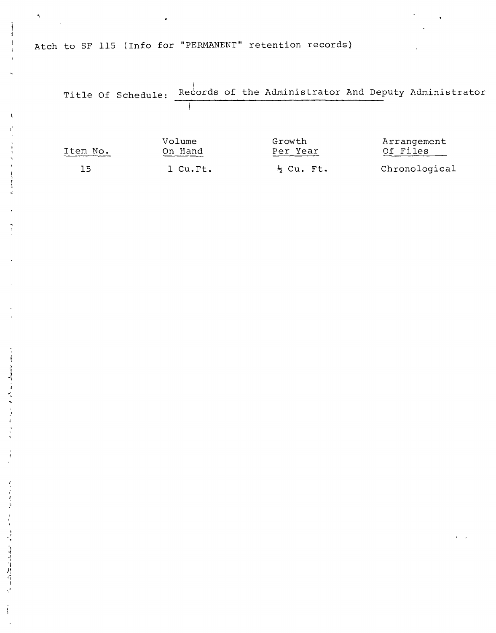Atch to SF 115 (Info for "PERMANENT" retention records)

 $\bullet_{\rm f}$ 

 $\bar{\chi}$ 

 $\mathbf{r} = \mathbf{r}^T \mathbf{r}$  and  $\mathbf{r} = \mathbf{r}^T \mathbf{r}$  and  $\mathbf{r} = \mathbf{r}^T \mathbf{r}$ 

 $\frac{d}{dt}$ 

 $\frac{1}{4}$ 

计计算线性计时性计

Ť

| Title Of Schedule: |                               |                       |          |                                                                                                   |
|--------------------|-------------------------------|-----------------------|----------|---------------------------------------------------------------------------------------------------|
|                    |                               |                       |          |                                                                                                   |
|                    |                               |                       |          |                                                                                                   |
|                    |                               | Growth                |          |                                                                                                   |
|                    |                               |                       |          |                                                                                                   |
|                    |                               | $\frac{1}{2}$ Cu. Ft. |          |                                                                                                   |
|                    | Volume<br>On Hand<br>1 Cu.Ft. |                       | Per Year | Records of the Administrator And Deputy Administrator<br>Arrangement<br>Of Files<br>Chronological |